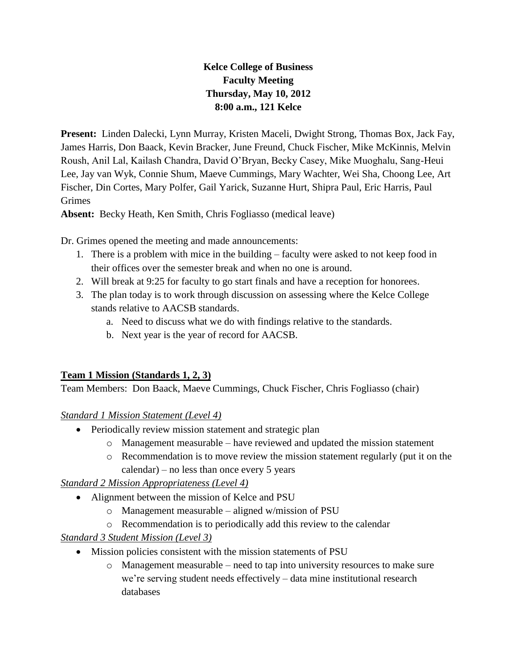**Kelce College of Business Faculty Meeting Thursday, May 10, 2012 8:00 a.m., 121 Kelce**

**Present:** Linden Dalecki, Lynn Murray, Kristen Maceli, Dwight Strong, Thomas Box, Jack Fay, James Harris, Don Baack, Kevin Bracker, June Freund, Chuck Fischer, Mike McKinnis, Melvin Roush, Anil Lal, Kailash Chandra, David O'Bryan, Becky Casey, Mike Muoghalu, Sang-Heui Lee, Jay van Wyk, Connie Shum, Maeve Cummings, Mary Wachter, Wei Sha, Choong Lee, Art Fischer, Din Cortes, Mary Polfer, Gail Yarick, Suzanne Hurt, Shipra Paul, Eric Harris, Paul Grimes

**Absent:** Becky Heath, Ken Smith, Chris Fogliasso (medical leave)

Dr. Grimes opened the meeting and made announcements:

- 1. There is a problem with mice in the building faculty were asked to not keep food in their offices over the semester break and when no one is around.
- 2. Will break at 9:25 for faculty to go start finals and have a reception for honorees.
- 3. The plan today is to work through discussion on assessing where the Kelce College stands relative to AACSB standards.
	- a. Need to discuss what we do with findings relative to the standards.
	- b. Next year is the year of record for AACSB.

## **Team 1 Mission (Standards 1, 2, 3)**

Team Members: Don Baack, Maeve Cummings, Chuck Fischer, Chris Fogliasso (chair)

## *Standard 1 Mission Statement (Level 4)*

- Periodically review mission statement and strategic plan
	- $\circ$  Management measurable have reviewed and updated the mission statement
	- $\circ$  Recommendation is to move review the mission statement regularly (put it on the calendar) – no less than once every  $5$  years

## *Standard 2 Mission Appropriateness (Level 4)*

- Alignment between the mission of Kelce and PSU
	- o Management measurable aligned w/mission of PSU
	- o Recommendation is to periodically add this review to the calendar

## *Standard 3 Student Mission (Level 3)*

- Mission policies consistent with the mission statements of PSU
	- o Management measurable need to tap into university resources to make sure we're serving student needs effectively – data mine institutional research databases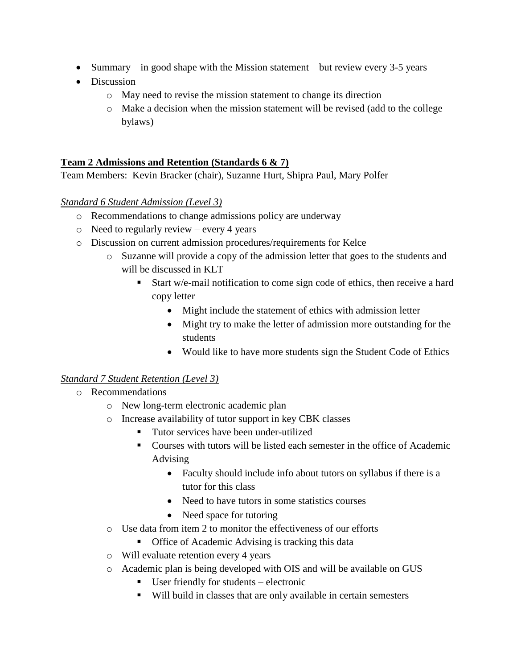- Summary in good shape with the Mission statement but review every 3-5 years
- Discussion
	- o May need to revise the mission statement to change its direction
	- $\circ$  Make a decision when the mission statement will be revised (add to the college bylaws)

#### **Team 2 Admissions and Retention (Standards 6 & 7)**

Team Members: Kevin Bracker (chair), Suzanne Hurt, Shipra Paul, Mary Polfer

#### *Standard 6 Student Admission (Level 3)*

- o Recommendations to change admissions policy are underway
- $\circ$  Need to regularly review every 4 years
- o Discussion on current admission procedures/requirements for Kelce
	- o Suzanne will provide a copy of the admission letter that goes to the students and will be discussed in KLT
		- Start w/e-mail notification to come sign code of ethics, then receive a hard copy letter
			- Might include the statement of ethics with admission letter
			- Might try to make the letter of admission more outstanding for the students
			- Would like to have more students sign the Student Code of Ethics

### *Standard 7 Student Retention (Level 3)*

- o Recommendations
	- o New long-term electronic academic plan
	- o Increase availability of tutor support in key CBK classes
		- Tutor services have been under-utilized
		- Courses with tutors will be listed each semester in the office of Academic Advising
			- Faculty should include info about tutors on syllabus if there is a tutor for this class
			- Need to have tutors in some statistics courses
			- Need space for tutoring
	- o Use data from item 2 to monitor the effectiveness of our efforts
		- **Office of Academic Advising is tracking this data**
	- o Will evaluate retention every 4 years
	- o Academic plan is being developed with OIS and will be available on GUS
		- User friendly for students electronic
		- Will build in classes that are only available in certain semesters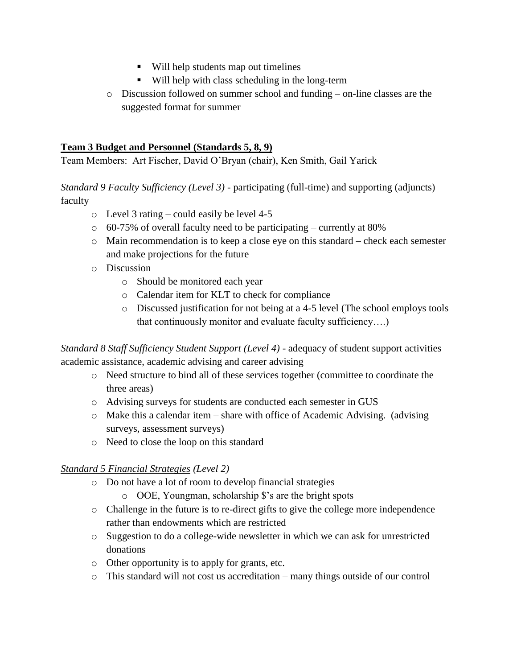- Will help students map out timelines
- Will help with class scheduling in the long-term
- o Discussion followed on summer school and funding on-line classes are the suggested format for summer

#### **Team 3 Budget and Personnel (Standards 5, 8, 9)**

Team Members: Art Fischer, David O'Bryan (chair), Ken Smith, Gail Yarick

*Standard 9 Faculty Sufficiency (Level 3)* - participating (full-time) and supporting (adjuncts) faculty

- $\circ$  Level 3 rating could easily be level 4-5
- o 60-75% of overall faculty need to be participating currently at 80%
- o Main recommendation is to keep a close eye on this standard check each semester and make projections for the future
- o Discussion
	- o Should be monitored each year
	- o Calendar item for KLT to check for compliance
	- o Discussed justification for not being at a 4-5 level (The school employs tools that continuously monitor and evaluate faculty sufficiency….)

*Standard 8 Staff Sufficiency Student Support (Level 4)* - adequacy of student support activities – academic assistance, academic advising and career advising

- o Need structure to bind all of these services together (committee to coordinate the three areas)
- o Advising surveys for students are conducted each semester in GUS
- $\circ$  Make this a calendar item share with office of Academic Advising. (advising) surveys, assessment surveys)
- o Need to close the loop on this standard

#### *Standard 5 Financial Strategies (Level 2)*

- o Do not have a lot of room to develop financial strategies
	- o OOE, Youngman, scholarship \$'s are the bright spots
- o Challenge in the future is to re-direct gifts to give the college more independence rather than endowments which are restricted
- o Suggestion to do a college-wide newsletter in which we can ask for unrestricted donations
- o Other opportunity is to apply for grants, etc.
- o This standard will not cost us accreditation many things outside of our control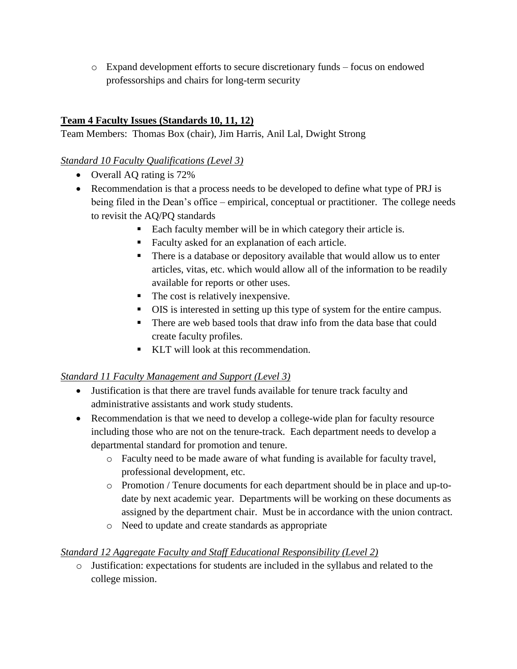o Expand development efforts to secure discretionary funds – focus on endowed professorships and chairs for long-term security

# **Team 4 Faculty Issues (Standards 10, 11, 12)**

Team Members: Thomas Box (chair), Jim Harris, Anil Lal, Dwight Strong

### *Standard 10 Faculty Qualifications (Level 3)*

- Overall AQ rating is 72%
- Recommendation is that a process needs to be developed to define what type of PRJ is being filed in the Dean's office – empirical, conceptual or practitioner. The college needs to revisit the AQ/PQ standards
	- Each faculty member will be in which category their article is.
	- Faculty asked for an explanation of each article.
	- There is a database or depository available that would allow us to enter articles, vitas, etc. which would allow all of the information to be readily available for reports or other uses.
	- The cost is relatively inexpensive.
	- OIS is interested in setting up this type of system for the entire campus.
	- There are web based tools that draw info from the data base that could create faculty profiles.
	- KLT will look at this recommendation.

### *Standard 11 Faculty Management and Support (Level 3)*

- Justification is that there are travel funds available for tenure track faculty and administrative assistants and work study students.
- Recommendation is that we need to develop a college-wide plan for faculty resource including those who are not on the tenure-track. Each department needs to develop a departmental standard for promotion and tenure.
	- o Faculty need to be made aware of what funding is available for faculty travel, professional development, etc.
	- o Promotion / Tenure documents for each department should be in place and up-todate by next academic year. Departments will be working on these documents as assigned by the department chair. Must be in accordance with the union contract.
	- o Need to update and create standards as appropriate

## *Standard 12 Aggregate Faculty and Staff Educational Responsibility (Level 2)*

o Justification: expectations for students are included in the syllabus and related to the college mission.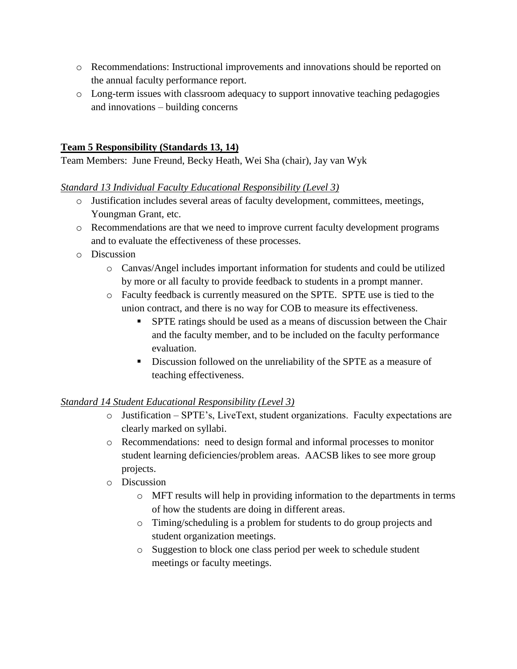- o Recommendations: Instructional improvements and innovations should be reported on the annual faculty performance report.
- o Long-term issues with classroom adequacy to support innovative teaching pedagogies and innovations – building concerns

## **Team 5 Responsibility (Standards 13, 14)**

Team Members: June Freund, Becky Heath, Wei Sha (chair), Jay van Wyk

### *Standard 13 Individual Faculty Educational Responsibility (Level 3)*

- o Justification includes several areas of faculty development, committees, meetings, Youngman Grant, etc.
- o Recommendations are that we need to improve current faculty development programs and to evaluate the effectiveness of these processes.
- o Discussion
	- o Canvas/Angel includes important information for students and could be utilized by more or all faculty to provide feedback to students in a prompt manner.
	- o Faculty feedback is currently measured on the SPTE. SPTE use is tied to the union contract, and there is no way for COB to measure its effectiveness.
		- SPTE ratings should be used as a means of discussion between the Chair and the faculty member, and to be included on the faculty performance evaluation.
		- Discussion followed on the unreliability of the SPTE as a measure of teaching effectiveness.

### *Standard 14 Student Educational Responsibility (Level 3)*

- o Justification SPTE's, LiveText, student organizations. Faculty expectations are clearly marked on syllabi.
- o Recommendations: need to design formal and informal processes to monitor student learning deficiencies/problem areas. AACSB likes to see more group projects.
- o Discussion
	- o MFT results will help in providing information to the departments in terms of how the students are doing in different areas.
	- o Timing/scheduling is a problem for students to do group projects and student organization meetings.
	- o Suggestion to block one class period per week to schedule student meetings or faculty meetings.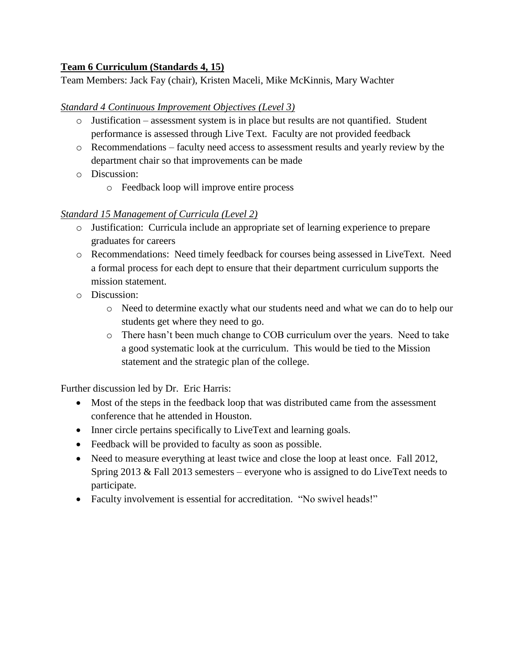### **Team 6 Curriculum (Standards 4, 15)**

Team Members: Jack Fay (chair), Kristen Maceli, Mike McKinnis, Mary Wachter

### *Standard 4 Continuous Improvement Objectives (Level 3)*

- o Justification assessment system is in place but results are not quantified. Student performance is assessed through Live Text. Faculty are not provided feedback
- o Recommendations faculty need access to assessment results and yearly review by the department chair so that improvements can be made
- o Discussion:
	- o Feedback loop will improve entire process

### *Standard 15 Management of Curricula (Level 2)*

- o Justification: Curricula include an appropriate set of learning experience to prepare graduates for careers
- o Recommendations: Need timely feedback for courses being assessed in LiveText. Need a formal process for each dept to ensure that their department curriculum supports the mission statement.
- o Discussion:
	- o Need to determine exactly what our students need and what we can do to help our students get where they need to go.
	- o There hasn't been much change to COB curriculum over the years. Need to take a good systematic look at the curriculum. This would be tied to the Mission statement and the strategic plan of the college.

Further discussion led by Dr. Eric Harris:

- Most of the steps in the feedback loop that was distributed came from the assessment conference that he attended in Houston.
- Inner circle pertains specifically to LiveText and learning goals.
- Feedback will be provided to faculty as soon as possible.
- Need to measure everything at least twice and close the loop at least once. Fall 2012, Spring 2013 & Fall 2013 semesters – everyone who is assigned to do LiveText needs to participate.
- Faculty involvement is essential for accreditation. "No swivel heads!"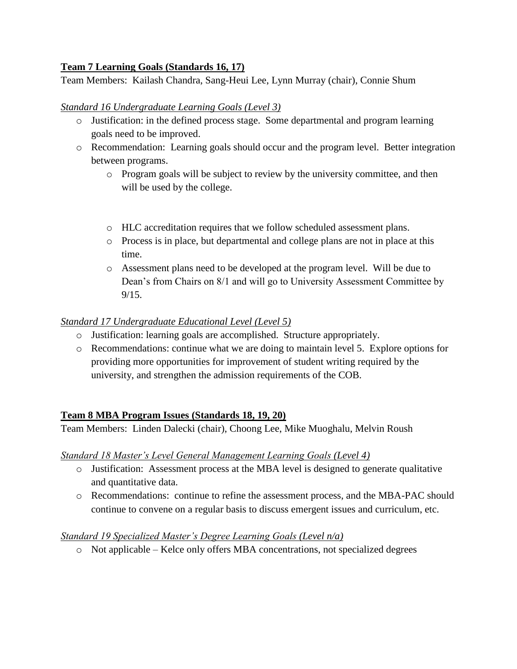### **Team 7 Learning Goals (Standards 16, 17)**

Team Members: Kailash Chandra, Sang-Heui Lee, Lynn Murray (chair), Connie Shum

### *Standard 16 Undergraduate Learning Goals (Level 3)*

- o Justification: in the defined process stage. Some departmental and program learning goals need to be improved.
- o Recommendation: Learning goals should occur and the program level. Better integration between programs.
	- o Program goals will be subject to review by the university committee, and then will be used by the college.
	- o HLC accreditation requires that we follow scheduled assessment plans.
	- o Process is in place, but departmental and college plans are not in place at this time.
	- o Assessment plans need to be developed at the program level. Will be due to Dean's from Chairs on 8/1 and will go to University Assessment Committee by  $9/15$ .

### *Standard 17 Undergraduate Educational Level (Level 5)*

- o Justification: learning goals are accomplished. Structure appropriately.
- o Recommendations: continue what we are doing to maintain level 5. Explore options for providing more opportunities for improvement of student writing required by the university, and strengthen the admission requirements of the COB.

## **Team 8 MBA Program Issues (Standards 18, 19, 20)**

Team Members: Linden Dalecki (chair), Choong Lee, Mike Muoghalu, Melvin Roush

### *Standard 18 Master's Level General Management Learning Goals (Level 4)*

- o Justification: Assessment process at the MBA level is designed to generate qualitative and quantitative data.
- o Recommendations: continue to refine the assessment process, and the MBA-PAC should continue to convene on a regular basis to discuss emergent issues and curriculum, etc.

### *Standard 19 Specialized Master's Degree Learning Goals (Level n/a)*

 $\circ$  Not applicable – Kelce only offers MBA concentrations, not specialized degrees